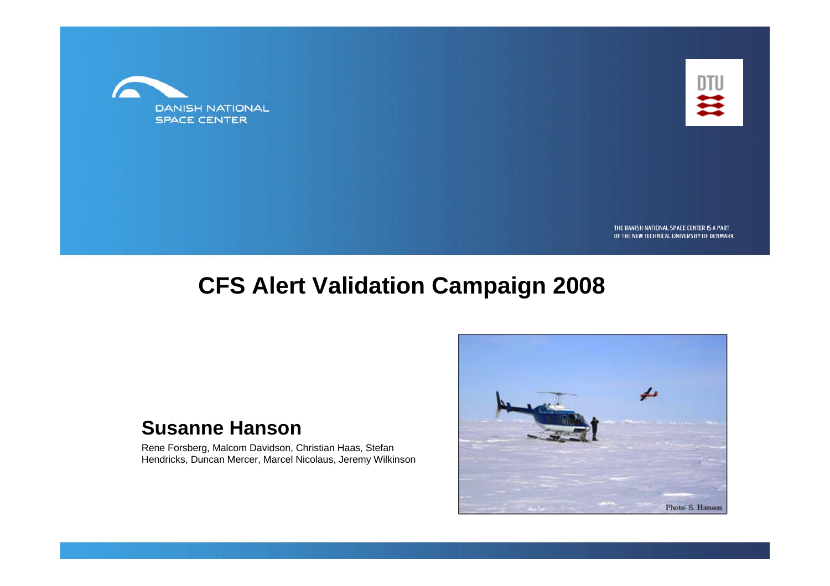



THE DANISH NATIONAL SPACE CENTER IS A PART OF THE NEW TECHNICAL UNIVERSITY OF DENMARK

#### **CFS Alert Validation Campaign 2008**

#### **Susanne Hanson**

Rene Forsberg, Malcom Davidson, Christian Haas, Stefan Hendricks, Duncan Mercer, Marcel Nicolaus, Jeremy Wilkinson

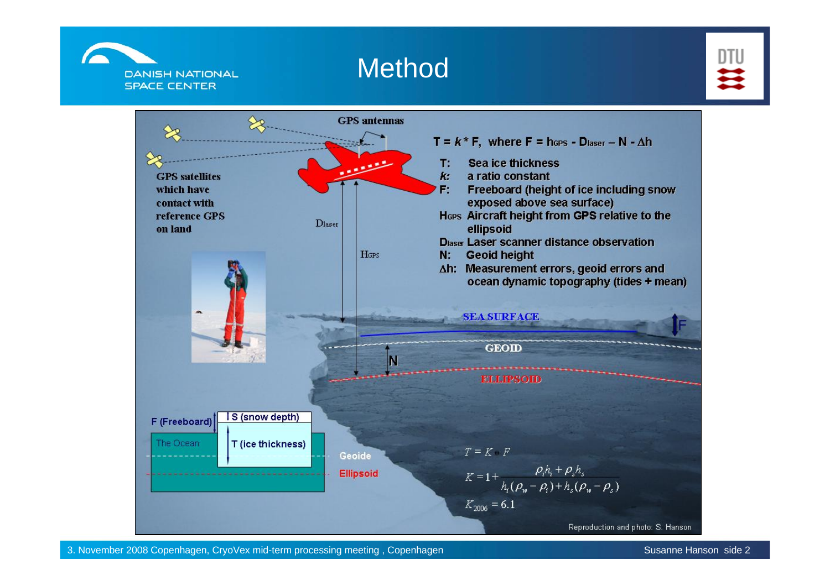

#### Method



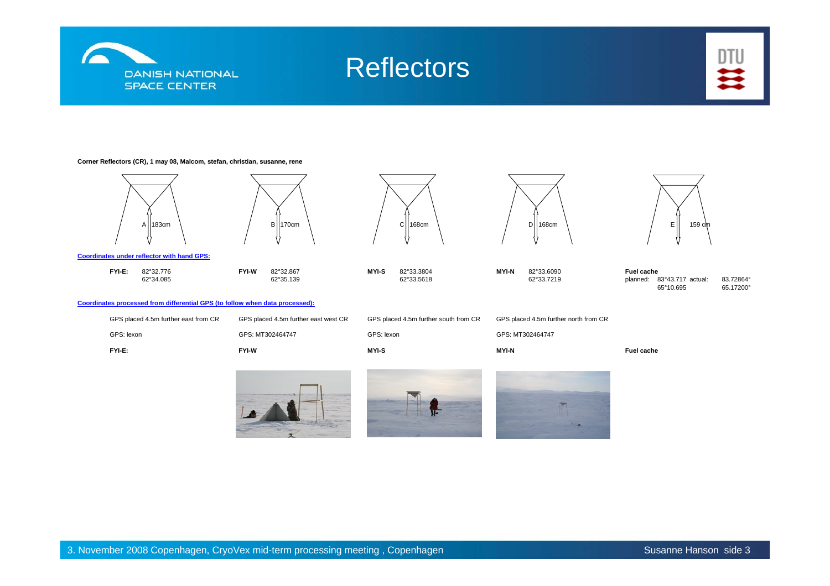

### **Reflectors**



#### **Corner Reflectors (CR), 1 may 08, Malcom, stefan, christian, susanne, rene**

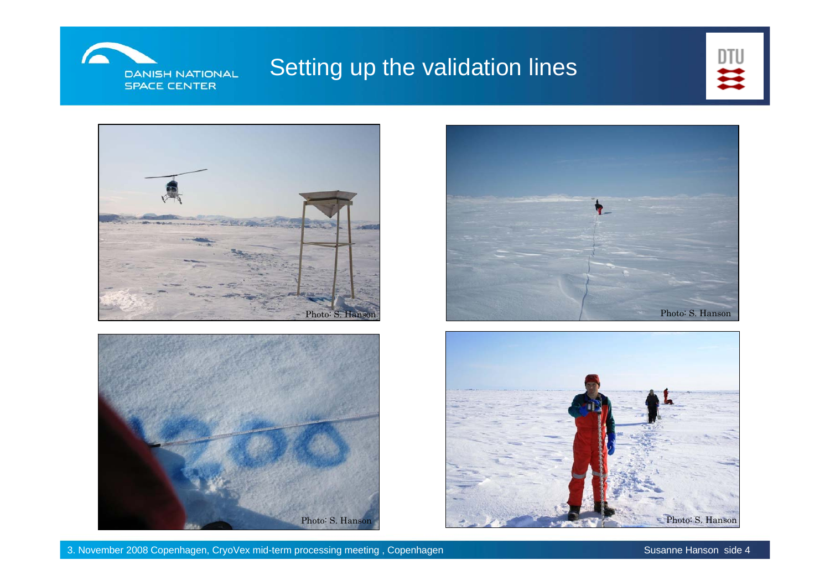

#### Setting up the validation lines









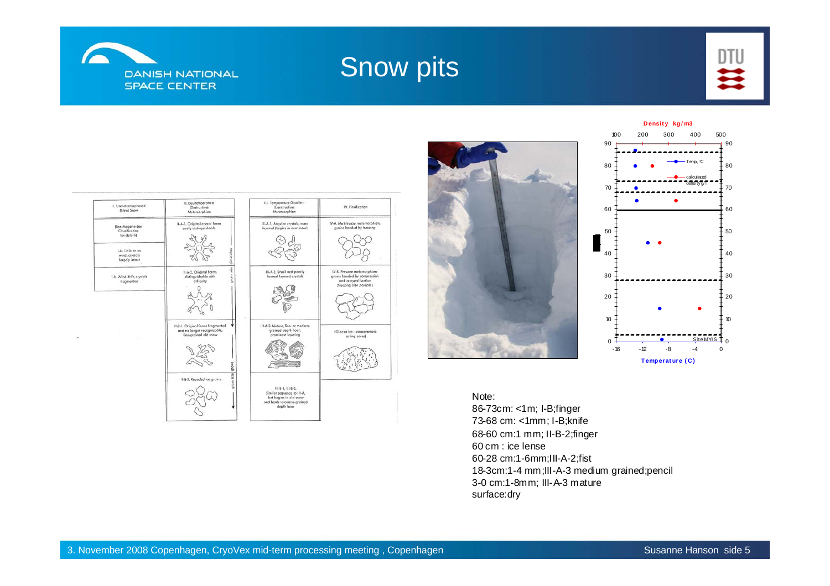

## Snow pits









#### Note:

86-73cm: <1m; I-B;finger 73-68 cm: <1mm; I-B;knife 68-60 cm:1 mm; II-B-2;finger 60 cm : ice lense60-28 cm:1-6mm;III-A-2;fist 18-3cm:1-4 mm;III-A-3 medium grained;pencil 3-0 cm:1-8mm; III-A-3 mature surface:dry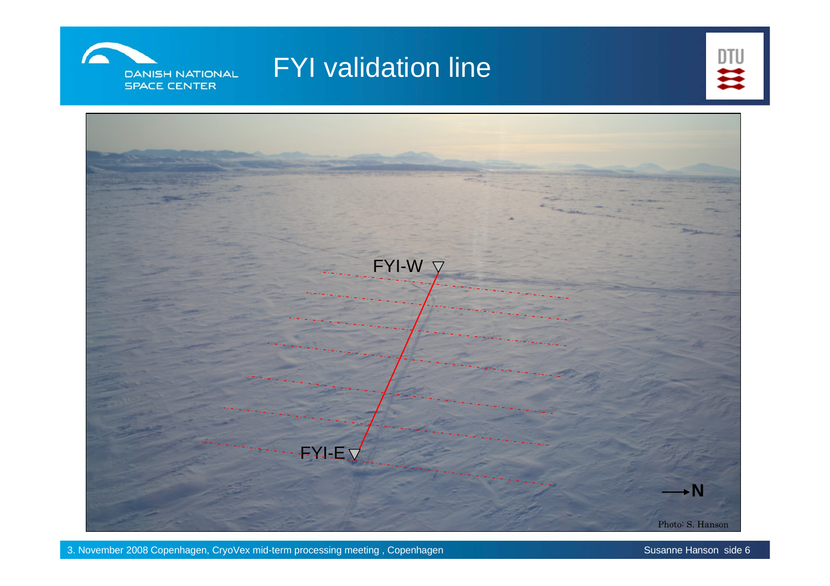

## FYI validation line



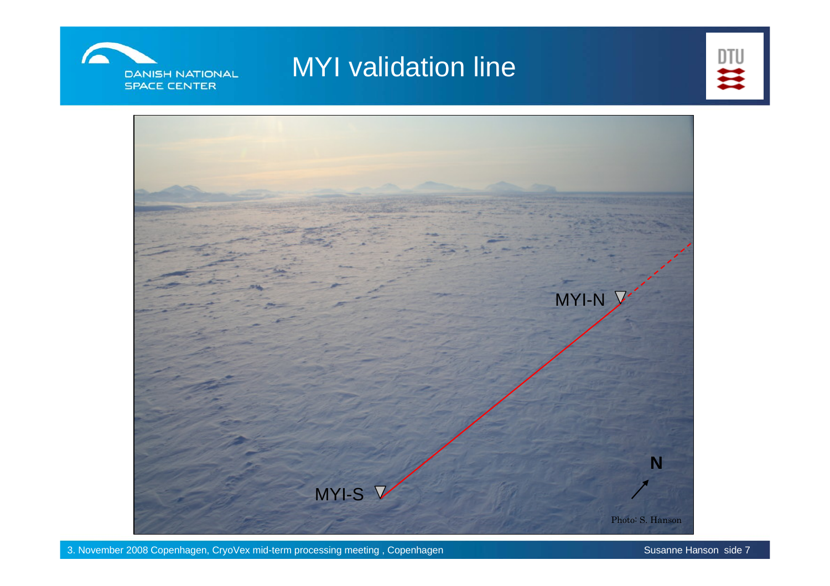

## MYI validation line



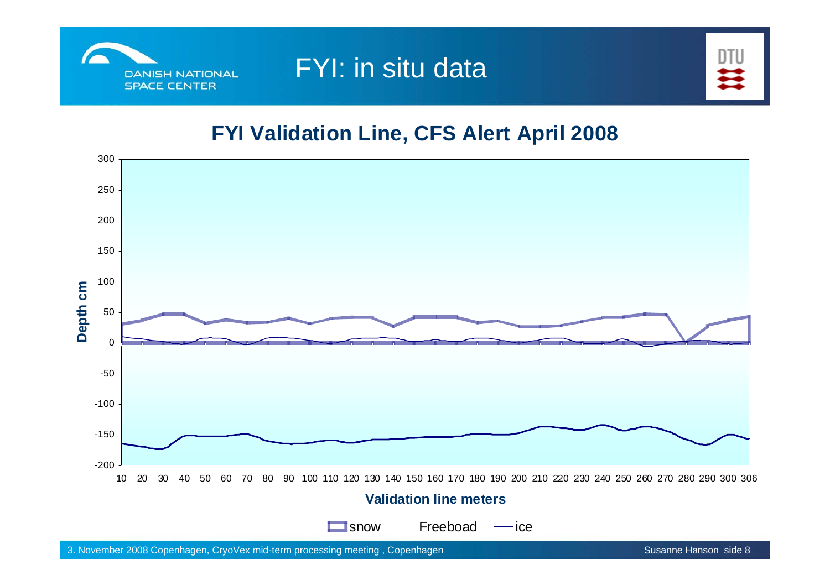

## FYI: in situ data



#### **FYI Validation Line, CFS Alert April 2008**

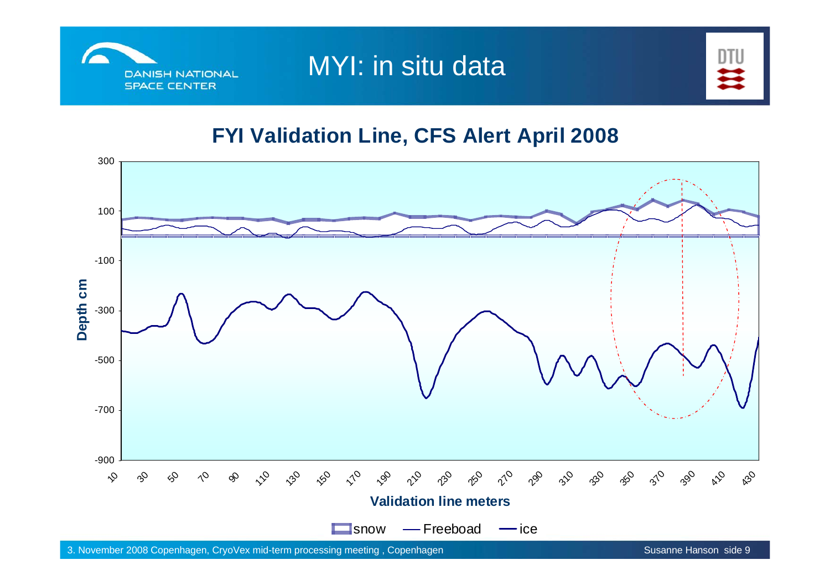

MYI: in situ data



#### **FYI Validation Line, CFS Alert April 2008**

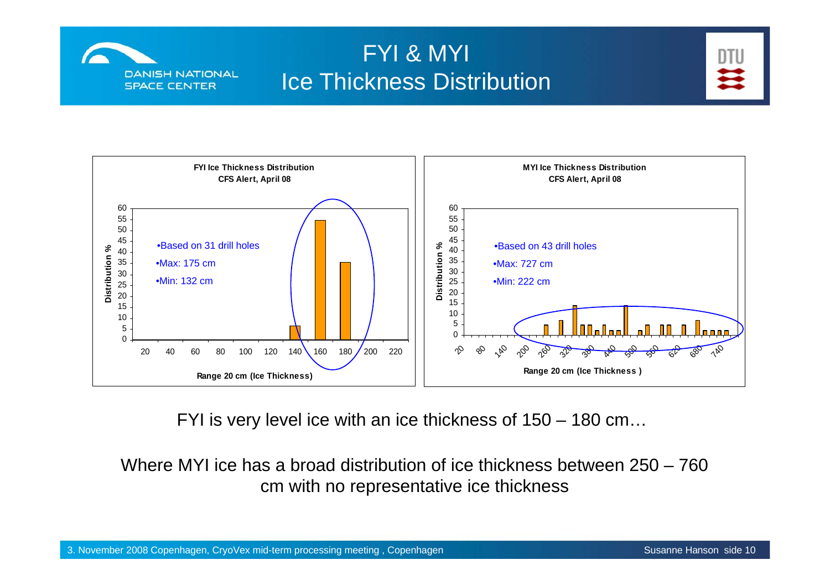

#### FYI & MYI Ice Thickness Distribution





FYI is very level ice with an ice thickness of 150 – 180 cm…

Where MYI ice has a broad distribution of ice thickness between 250 – 760 cm with no representative ice thickness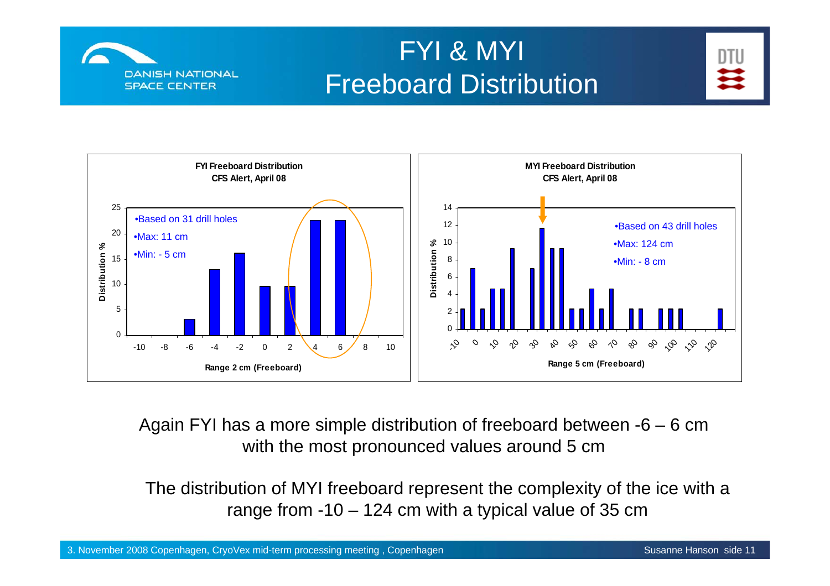

# FYI & MYI Freeboard Distribution





Again FYI has a more simple distribution of freeboard between -6 – 6 cm with the most pronounced values around 5 cm

The distribution of MYI freeboard represent the complexity of the ice with a range from -10 – 124 cm with a typical value of 35 cm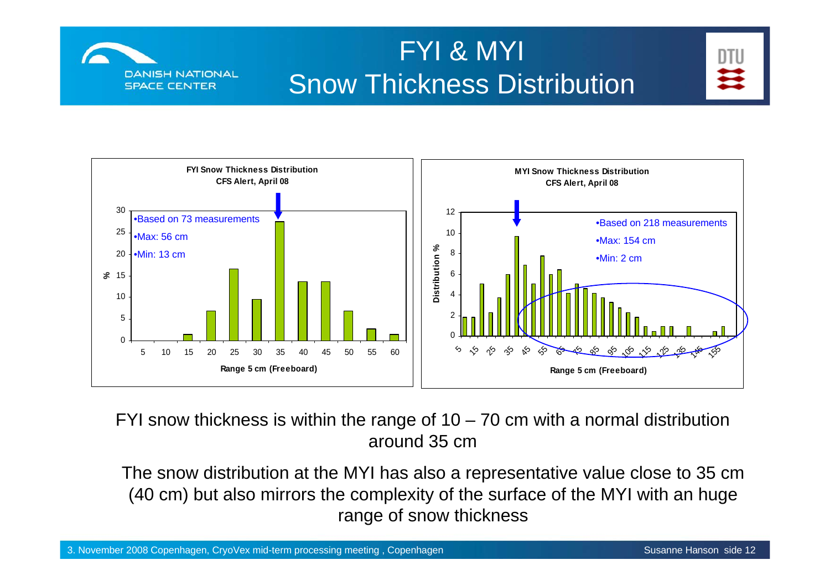

# FYI & MYI Snow Thickness Distribution



![](_page_11_Figure_3.jpeg)

FYI snow thickness is within the range of  $10 - 70$  cm with a normal distribution around 35 cm

The snow distribution at the MYI has also a representative value close to 35 cm (40 cm) but also mirrors the complexity of the surface of the MYI with an huge range of snow thickness